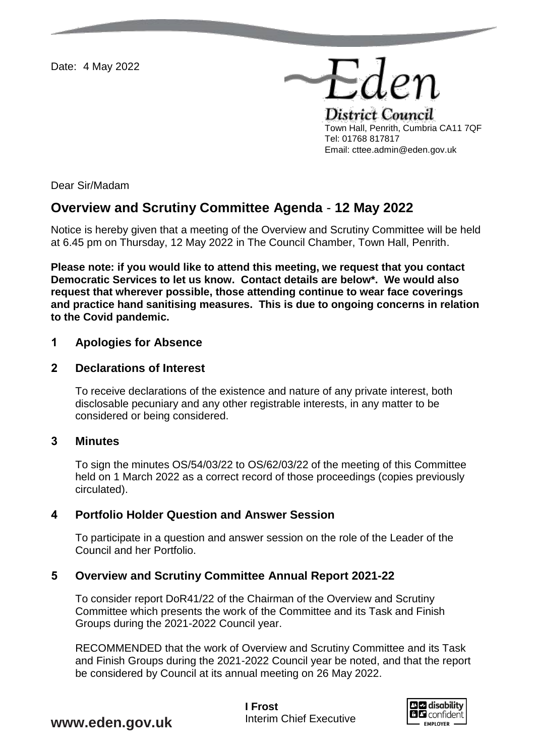Date: 4 May 2022

District Council Town Hall, Penrith, Cumbria CA11 7QF Tel: 01768 817817 Email: cttee.admin@eden.gov.uk

Eder

Dear Sir/Madam

# **Overview and Scrutiny Committee Agenda** - **12 May 2022**

Notice is hereby given that a meeting of the Overview and Scrutiny Committee will be held at 6.45 pm on Thursday, 12 May 2022 in The Council Chamber, Town Hall, Penrith.

**Please note: if you would like to attend this meeting, we request that you contact Democratic Services to let us know. Contact details are below\*. We would also request that wherever possible, those attending continue to wear face coverings and practice hand sanitising measures. This is due to ongoing concerns in relation to the Covid pandemic.** 

## **1 Apologies for Absence**

## **2 Declarations of Interest**

To receive declarations of the existence and nature of any private interest, both disclosable pecuniary and any other registrable interests, in any matter to be considered or being considered.

## **3 Minutes**

To sign the minutes OS/54/03/22 to OS/62/03/22 of the meeting of this Committee held on 1 March 2022 as a correct record of those proceedings (copies previously circulated).

## **4 Portfolio Holder Question and Answer Session**

To participate in a question and answer session on the role of the Leader of the Council and her Portfolio.

## **5 Overview and Scrutiny Committee Annual Report 2021-22**

To consider report DoR41/22 of the Chairman of the Overview and Scrutiny Committee which presents the work of the Committee and its Task and Finish Groups during the 2021-2022 Council year.

RECOMMENDED that the work of Overview and Scrutiny Committee and its Task and Finish Groups during the 2021-2022 Council year be noted, and that the report be considered by Council at its annual meeting on 26 May 2022.



**www.eden.gov.uk**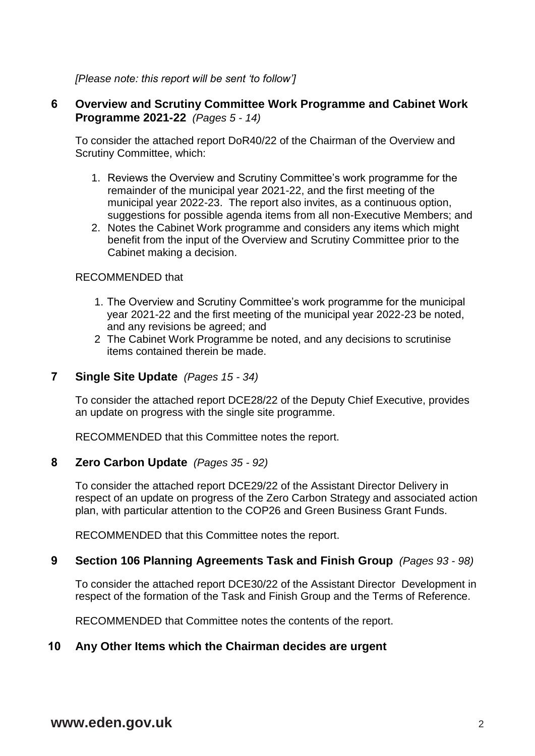*[Please note: this report will be sent 'to follow']*

# **6 Overview and Scrutiny Committee Work Programme and Cabinet Work Programme 2021-22** *(Pages 5 - 14)*

To consider the attached report DoR40/22 of the Chairman of the Overview and Scrutiny Committee, which:

- 1. Reviews the Overview and Scrutiny Committee's work programme for the remainder of the municipal year 2021-22, and the first meeting of the municipal year 2022-23. The report also invites, as a continuous option, suggestions for possible agenda items from all non-Executive Members; and
- 2. Notes the Cabinet Work programme and considers any items which might benefit from the input of the Overview and Scrutiny Committee prior to the Cabinet making a decision.

#### RECOMMENDED that

- 1. The Overview and Scrutiny Committee's work programme for the municipal year 2021-22 and the first meeting of the municipal year 2022-23 be noted, and any revisions be agreed; and
- 2 The Cabinet Work Programme be noted, and any decisions to scrutinise items contained therein be made.

## **7 Single Site Update** *(Pages 15 - 34)*

To consider the attached report DCE28/22 of the Deputy Chief Executive, provides an update on progress with the single site programme.

RECOMMENDED that this Committee notes the report.

## **8 Zero Carbon Update** *(Pages 35 - 92)*

To consider the attached report DCE29/22 of the Assistant Director Delivery in respect of an update on progress of the Zero Carbon Strategy and associated action plan, with particular attention to the COP26 and Green Business Grant Funds.

RECOMMENDED that this Committee notes the report.

## **9 Section 106 Planning Agreements Task and Finish Group** *(Pages 93 - 98)*

To consider the attached report DCE30/22 of the Assistant Director Development in respect of the formation of the Task and Finish Group and the Terms of Reference.

RECOMMENDED that Committee notes the contents of the report.

# **10 Any Other Items which the Chairman decides are urgent**